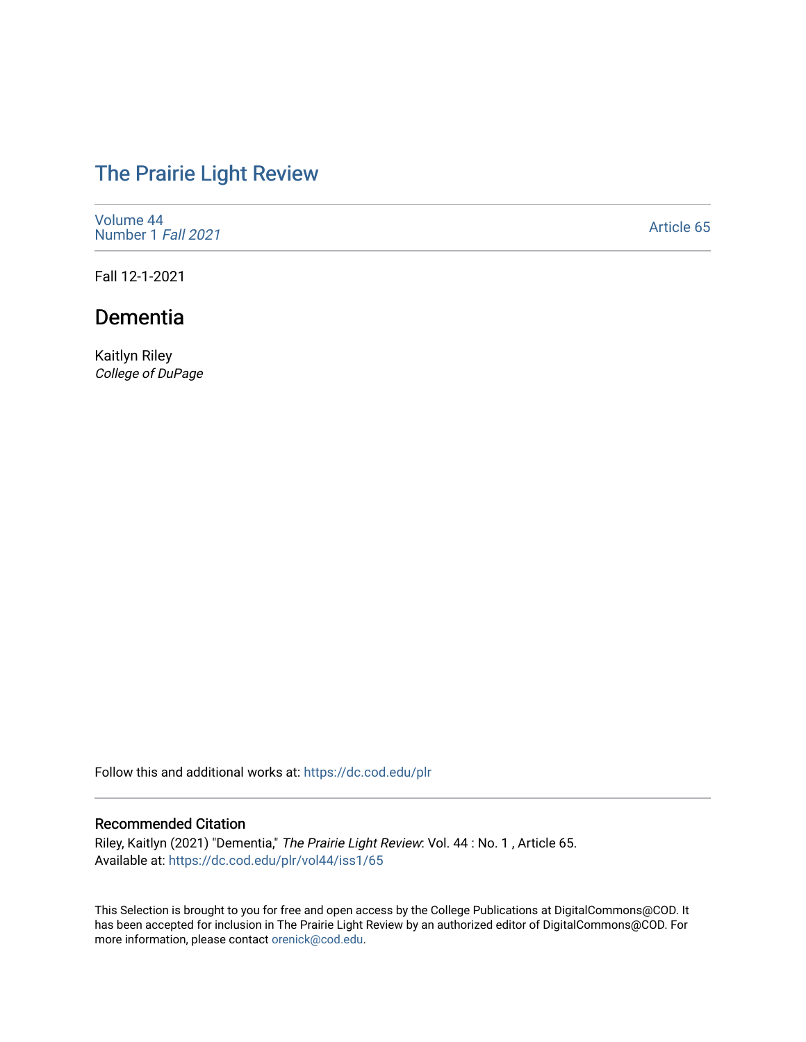# [The Prairie Light Review](https://dc.cod.edu/plr)

[Volume 44](https://dc.cod.edu/plr/vol44) [Number 1](https://dc.cod.edu/plr/vol44/iss1) Fall 2021

[Article 65](https://dc.cod.edu/plr/vol44/iss1/65) 

Fall 12-1-2021

## Dementia

Kaitlyn Riley College of DuPage

Follow this and additional works at: [https://dc.cod.edu/plr](https://dc.cod.edu/plr?utm_source=dc.cod.edu%2Fplr%2Fvol44%2Fiss1%2F65&utm_medium=PDF&utm_campaign=PDFCoverPages) 

#### Recommended Citation

Riley, Kaitlyn (2021) "Dementia," The Prairie Light Review: Vol. 44 : No. 1 , Article 65. Available at: [https://dc.cod.edu/plr/vol44/iss1/65](https://dc.cod.edu/plr/vol44/iss1/65?utm_source=dc.cod.edu%2Fplr%2Fvol44%2Fiss1%2F65&utm_medium=PDF&utm_campaign=PDFCoverPages)

This Selection is brought to you for free and open access by the College Publications at DigitalCommons@COD. It has been accepted for inclusion in The Prairie Light Review by an authorized editor of DigitalCommons@COD. For more information, please contact [orenick@cod.edu.](mailto:orenick@cod.edu)